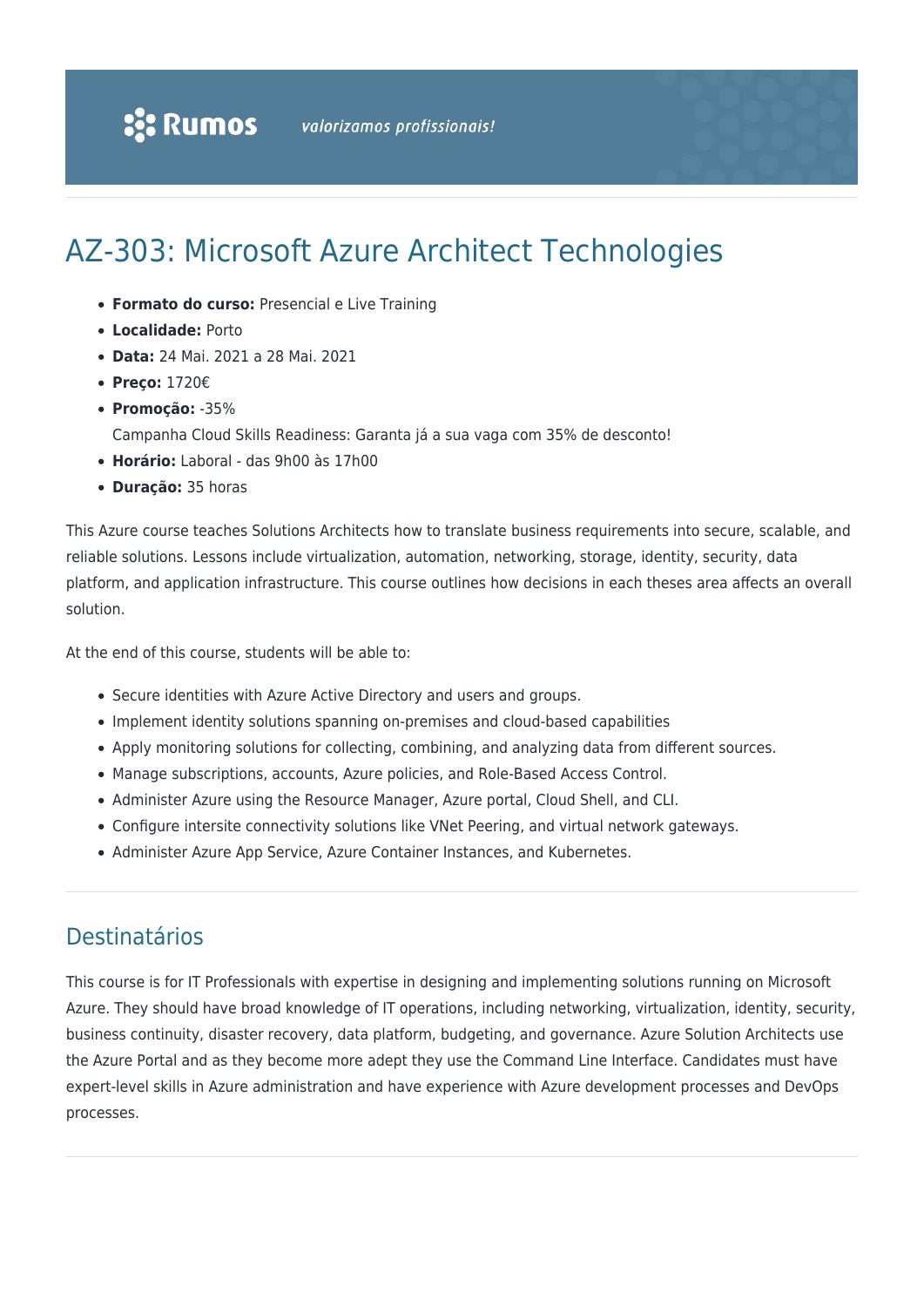# AZ-303: Microsoft Azure Architect Technologies

- **Formato do curso:** Presencial e Live Training
- **Localidade:** Porto
- **Data:** 24 Mai. 2021 a 28 Mai. 2021
- **Preço:** 1720€
- **Promoção:** -35%
	- Campanha Cloud Skills Readiness: Garanta já a sua vaga com 35% de desconto!
- **Horário:** Laboral das 9h00 às 17h00
- **Duração:** 35 horas

This Azure course teaches Solutions Architects how to translate business requirements into secure, scalable, and reliable solutions. Lessons include virtualization, automation, networking, storage, identity, security, data platform, and application infrastructure. This course outlines how decisions in each theses area affects an overall solution.

At the end of this course, students will be able to:

- Secure identities with Azure Active Directory and users and groups.
- Implement identity solutions spanning on-premises and cloud-based capabilities
- Apply monitoring solutions for collecting, combining, and analyzing data from different sources.
- Manage subscriptions, accounts, Azure policies, and Role-Based Access Control.
- Administer Azure using the Resource Manager, Azure portal, Cloud Shell, and CLI.
- Configure intersite connectivity solutions like VNet Peering, and virtual network gateways.
- Administer Azure App Service, Azure Container Instances, and Kubernetes.

### Destinatários

This course is for IT Professionals with expertise in designing and implementing solutions running on Microsoft Azure. They should have broad knowledge of IT operations, including networking, virtualization, identity, security, business continuity, disaster recovery, data platform, budgeting, and governance. Azure Solution Architects use the Azure Portal and as they become more adept they use the Command Line Interface. Candidates must have expert-level skills in Azure administration and have experience with Azure development processes and DevOps processes.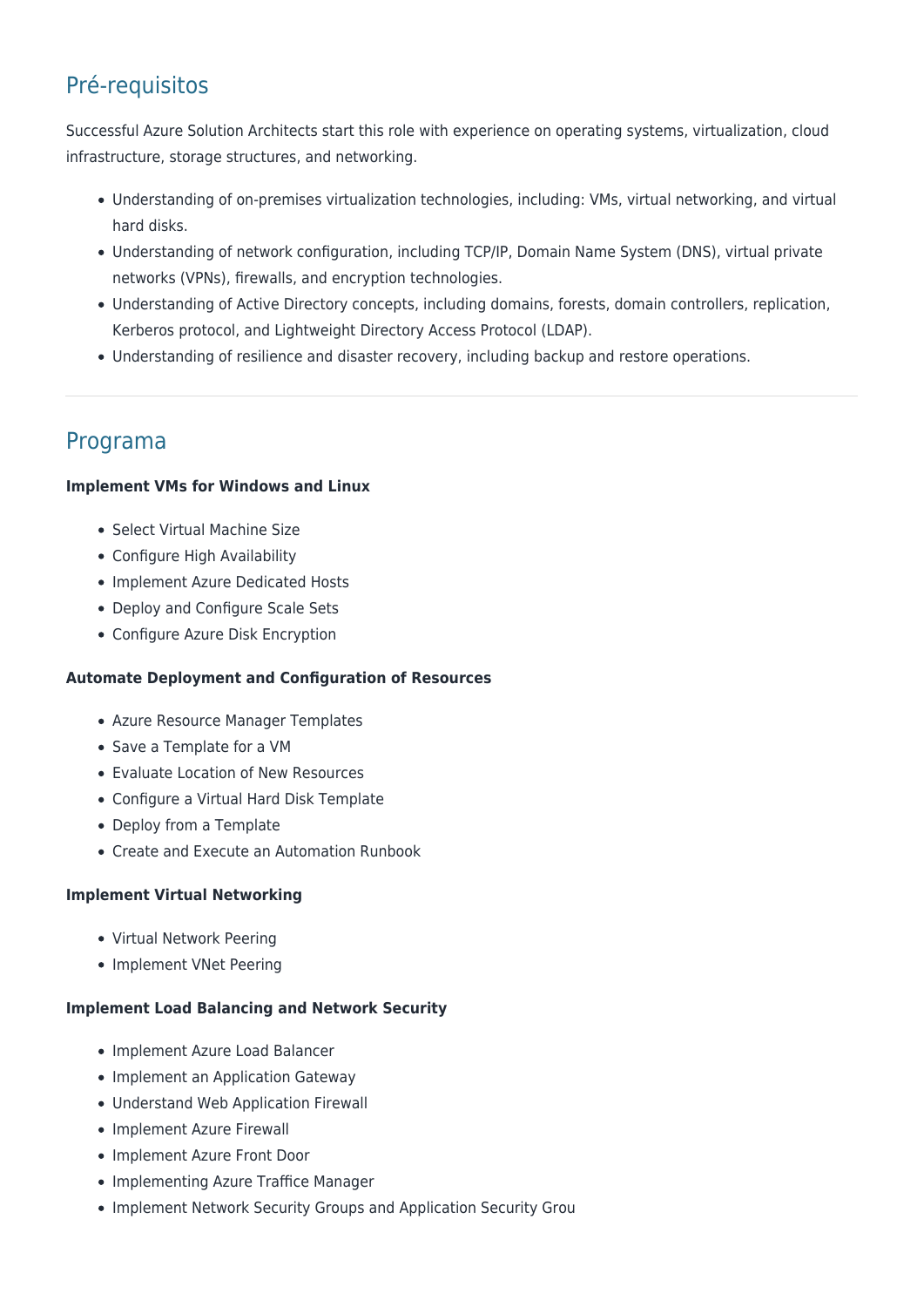# Pré-requisitos

Successful Azure Solution Architects start this role with experience on operating systems, virtualization, cloud infrastructure, storage structures, and networking.

- Understanding of on-premises virtualization technologies, including: VMs, virtual networking, and virtual hard disks.
- Understanding of network configuration, including TCP/IP, Domain Name System (DNS), virtual private networks (VPNs), firewalls, and encryption technologies.
- Understanding of Active Directory concepts, including domains, forests, domain controllers, replication, Kerberos protocol, and Lightweight Directory Access Protocol (LDAP).
- Understanding of resilience and disaster recovery, including backup and restore operations.

## Programa

#### **Implement VMs for Windows and Linux**

- Select Virtual Machine Size
- Configure High Availability
- Implement Azure Dedicated Hosts
- Deploy and Configure Scale Sets
- Configure Azure Disk Encryption

#### **Automate Deployment and Configuration of Resources**

- Azure Resource Manager Templates
- Save a Template for a VM
- Evaluate Location of New Resources
- Configure a Virtual Hard Disk Template
- Deploy from a Template
- Create and Execute an Automation Runbook

#### **Implement Virtual Networking**

- Virtual Network Peering
- Implement VNet Peering

#### **Implement Load Balancing and Network Security**

- Implement Azure Load Balancer
- Implement an Application Gateway
- Understand Web Application Firewall
- Implement Azure Firewall
- Implement Azure Front Door
- Implementing Azure Traffice Manager
- Implement Network Security Groups and Application Security Grou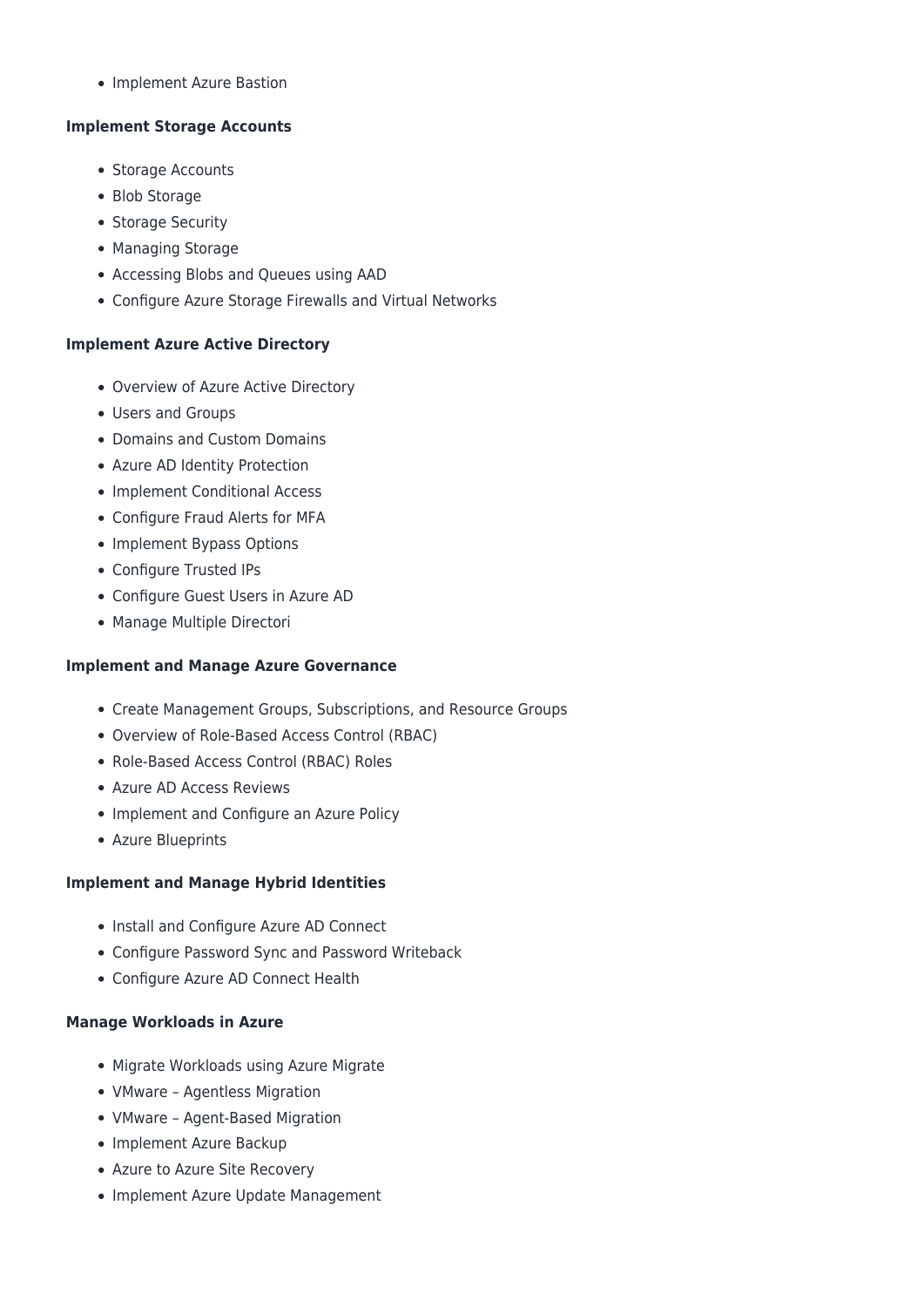• Implement Azure Bastion

#### **Implement Storage Accounts**

- Storage Accounts
- Blob Storage
- Storage Security
- Managing Storage
- Accessing Blobs and Queues using AAD
- Configure Azure Storage Firewalls and Virtual Networks

#### **Implement Azure Active Directory**

- Overview of Azure Active Directory
- Users and Groups
- Domains and Custom Domains
- Azure AD Identity Protection
- Implement Conditional Access
- Configure Fraud Alerts for MFA
- Implement Bypass Options
- Configure Trusted IPs
- Configure Guest Users in Azure AD
- Manage Multiple Directori

#### **Implement and Manage Azure Governance**

- Create Management Groups, Subscriptions, and Resource Groups
- Overview of Role-Based Access Control (RBAC)
- Role-Based Access Control (RBAC) Roles
- Azure AD Access Reviews
- Implement and Configure an Azure Policy
- Azure Blueprints

#### **Implement and Manage Hybrid Identities**

- Install and Configure Azure AD Connect
- Configure Password Sync and Password Writeback
- Configure Azure AD Connect Health

#### **Manage Workloads in Azure**

- Migrate Workloads using Azure Migrate
- VMware Agentless Migration
- VMware Agent-Based Migration
- Implement Azure Backup
- Azure to Azure Site Recovery
- Implement Azure Update Management